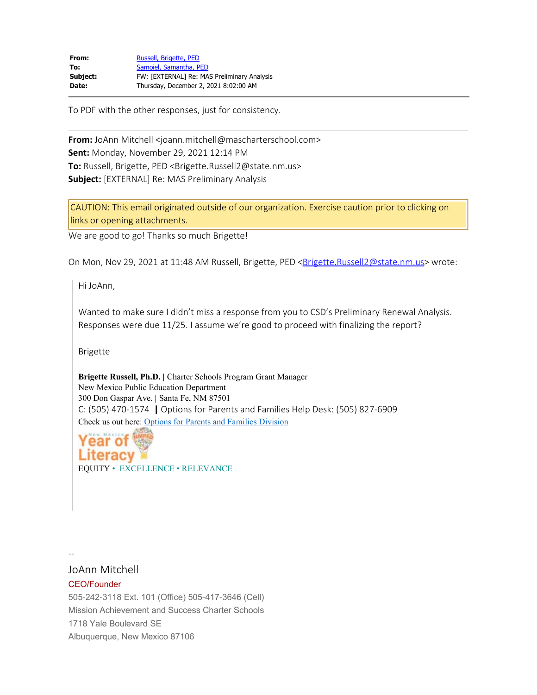| From:    | Russell, Brigette, PED                      |
|----------|---------------------------------------------|
| To:      | Samoiel, Samantha, PED                      |
| Subject: | FW: [EXTERNAL] Re: MAS Preliminary Analysis |
| Date:    | Thursday, December 2, 2021 8:02:00 AM       |

To PDF with the other responses, just for consistency.

**From:** JoAnn Mitchell <joann.mitchell@mascharterschool.com> **Sent:** Monday, November 29, 2021 12:14 PM **To:** Russell, Brigette, PED <Brigette.Russell2@state.nm.us> **Subject:** [EXTERNAL] Re: MAS Preliminary Analysis

CAUTION: This email originated outside of our organization. Exercise caution prior to clicking on links or opening attachments.

We are good to go! Thanks so much Brigette!

On Mon, Nov 29, 2021 at 11:48 AM Russell, Brigette, PED [<Brigette.Russell2@state.nm.us>](mailto:Brigette.Russell2@state.nm.us) wrote:

Hi JoAnn,

Wanted to make sure I didn't miss a response from you to CSD's Preliminary Renewal Analysis. Responses were due 11/25. I assume we're good to proceed with finalizing the report?

Brigette

**Brigette Russell, Ph.D. |** Charter Schools Program Grant Manager New Mexico Public Education Department 300 Don Gaspar Ave. **|** Santa Fe, NM 87501 C: (505) 470-1574 **|** Options for Parents and Families Help Desk: (505) 827-6909 Check us out here: [Options for Parents and Families Division](https://webnew.ped.state.nm.us/bureaus/options-parents-families/charter-schools/new-mexico-charter-school-program-grant/nmcsp-subgrant-competition/)

Year of Literacy EQUITY • EXCELLENCE • RELEVANCE

--

## JoAnn Mitchell CEO/Founder

505-242-3118 Ext. 101 (Office) 505-417-3646 (Cell) Mission Achievement and Success Charter Schools 1718 Yale Boulevard SE Albuquerque, New Mexico 87106